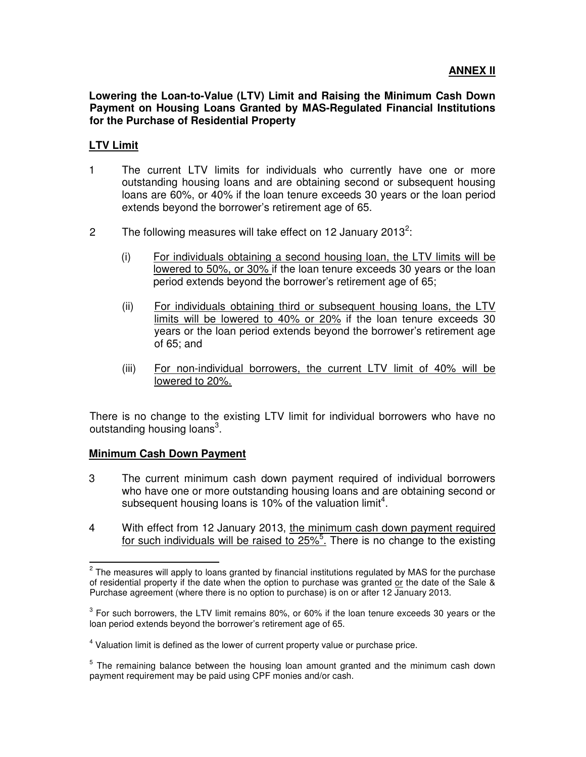**Lowering the Loan-to-Value (LTV) Limit and Raising the Minimum Cash Down Payment on Housing Loans Granted by MAS-Regulated Financial Institutions for the Purchase of Residential Property** 

## **LTV Limit**

- 1 The current LTV limits for individuals who currently have one or more outstanding housing loans and are obtaining second or subsequent housing loans are 60%, or 40% if the loan tenure exceeds 30 years or the loan period extends beyond the borrower's retirement age of 65.
- 2 The following measures will take effect on 12 January 2013<sup>2</sup>:
	- (i) For individuals obtaining a second housing loan, the LTV limits will be lowered to 50%, or 30% if the loan tenure exceeds 30 years or the loan period extends beyond the borrower's retirement age of 65;
	- (ii) For individuals obtaining third or subsequent housing loans, the LTV limits will be lowered to 40% or 20% if the loan tenure exceeds 30 years or the loan period extends beyond the borrower's retirement age of 65; and
	- (iii) For non-individual borrowers, the current LTV limit of 40% will be lowered to 20%.

There is no change to the existing LTV limit for individual borrowers who have no outstanding housing loans<sup>3</sup>.

## **Minimum Cash Down Payment**

 $\overline{a}$ 

- 3 The current minimum cash down payment required of individual borrowers who have one or more outstanding housing loans and are obtaining second or subsequent housing loans is 10% of the valuation limit<sup>4</sup>.
- 4 With effect from 12 January 2013, the minimum cash down payment required for such individuals will be raised to 25%<sup>5</sup>. There is no change to the existing

 $2$  The measures will apply to loans granted by financial institutions regulated by MAS for the purchase of residential property if the date when the option to purchase was granted or the date of the Sale & Purchase agreement (where there is no option to purchase) is on or after 12 January 2013.

 $3$  For such borrowers, the LTV limit remains 80%, or 60% if the loan tenure exceeds 30 years or the loan period extends beyond the borrower's retirement age of 65.

 $<sup>4</sup>$  Valuation limit is defined as the lower of current property value or purchase price.</sup>

<sup>&</sup>lt;sup>5</sup> The remaining balance between the housing loan amount granted and the minimum cash down payment requirement may be paid using CPF monies and/or cash.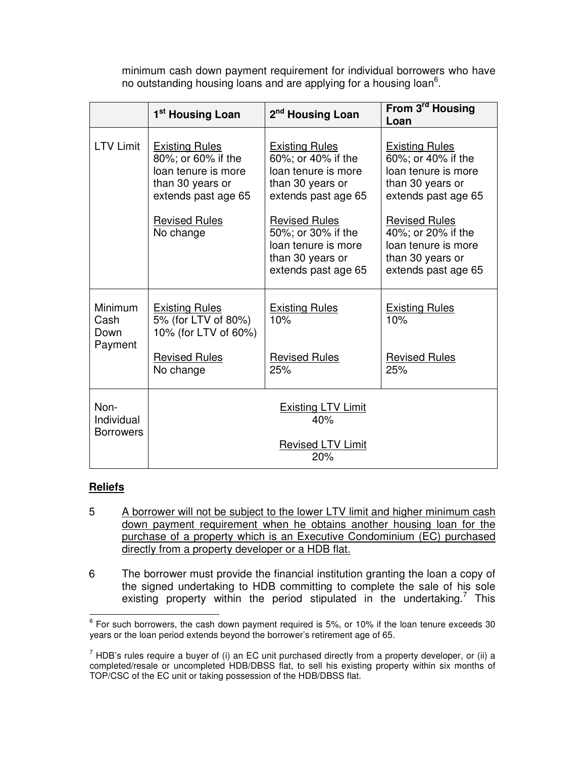minimum cash down payment requirement for individual borrowers who have no outstanding housing loans and are applying for a housing loan<sup>6</sup>.

|                                        | 1 <sup>st</sup> Housing Loan                                                                                  | 2 <sup>nd</sup> Housing Loan                                                                                  | From 3 <sup>rd</sup> Housing<br>Loan                                                                          |
|----------------------------------------|---------------------------------------------------------------------------------------------------------------|---------------------------------------------------------------------------------------------------------------|---------------------------------------------------------------------------------------------------------------|
| <b>LTV Limit</b>                       | <b>Existing Rules</b><br>80%; or 60% if the<br>loan tenure is more<br>than 30 years or<br>extends past age 65 | <b>Existing Rules</b><br>60%; or 40% if the<br>loan tenure is more<br>than 30 years or<br>extends past age 65 | <b>Existing Rules</b><br>60%; or 40% if the<br>loan tenure is more<br>than 30 years or<br>extends past age 65 |
|                                        | <b>Revised Rules</b><br>No change                                                                             | <b>Revised Rules</b><br>50%; or 30% if the<br>loan tenure is more<br>than 30 years or<br>extends past age 65  | <b>Revised Rules</b><br>40%; or 20% if the<br>loan tenure is more<br>than 30 years or<br>extends past age 65  |
| Minimum<br>Cash<br>Down<br>Payment     | <b>Existing Rules</b><br>5% (for LTV of 80%)<br>10% (for LTV of 60%)                                          | <b>Existing Rules</b><br>10%                                                                                  | <b>Existing Rules</b><br>10%                                                                                  |
|                                        | <b>Revised Rules</b><br>No change                                                                             | <b>Revised Rules</b><br>25%                                                                                   | <b>Revised Rules</b><br>25%                                                                                   |
| Non-<br>Individual<br><b>Borrowers</b> | <b>Existing LTV Limit</b><br>40%                                                                              |                                                                                                               |                                                                                                               |
|                                        |                                                                                                               | <b>Revised LTV Limit</b><br>20%                                                                               |                                                                                                               |

## **Reliefs**

 $\overline{a}$ 

- 5 A borrower will not be subject to the lower LTV limit and higher minimum cash down payment requirement when he obtains another housing loan for the purchase of a property which is an Executive Condominium (EC) purchased directly from a property developer or a HDB flat.
- 6 The borrower must provide the financial institution granting the loan a copy of the signed undertaking to HDB committing to complete the sale of his sole existing property within the period stipulated in the undertaking.<sup>7</sup> This

 $6$  For such borrowers, the cash down payment required is 5%, or 10% if the loan tenure exceeds 30 years or the loan period extends beyond the borrower's retirement age of 65.

 $^7$  HDB's rules require a buyer of (i) an EC unit purchased directly from a property developer, or (ii) a completed/resale or uncompleted HDB/DBSS flat, to sell his existing property within six months of TOP/CSC of the EC unit or taking possession of the HDB/DBSS flat.